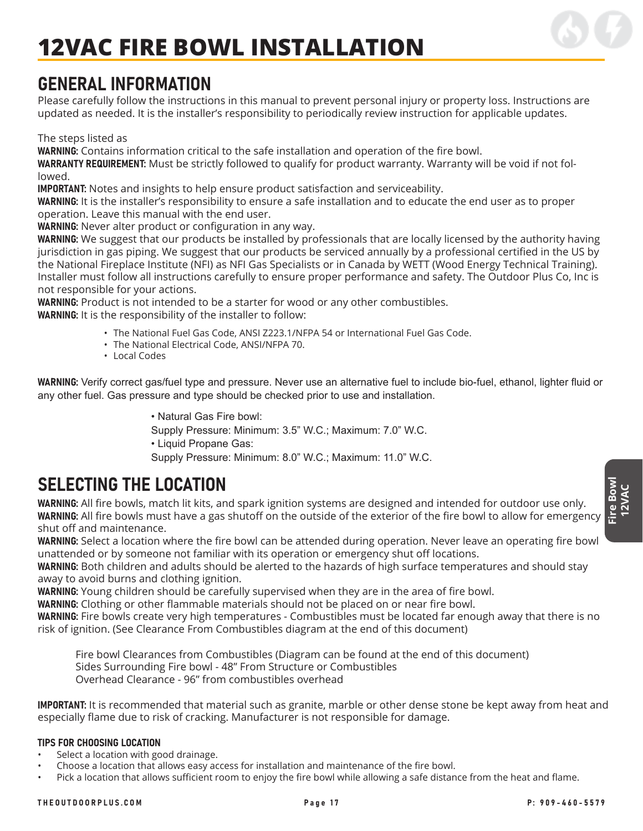

### GENERAL INFORMATION

Please carefully follow the instructions in this manual to prevent personal injury or property loss. Instructions are updated as needed. It is the installer's responsibility to periodically review instruction for applicable updates.

The steps listed as

WARNING: Contains information critical to the safe installation and operation of the fire bowl.

WARRANTY REQUIREMENT: Must be strictly followed to qualify for product warranty. Warranty will be void if not followed.

IMPORTANT: Notes and insights to help ensure product satisfaction and serviceability.

WARNING: It is the installer's responsibility to ensure a safe installation and to educate the end user as to proper operation. Leave this manual with the end user.

WARNING: Never alter product or configuration in any way.

WARNING: We suggest that our products be installed by professionals that are locally licensed by the authority having jurisdiction in gas piping. We suggest that our products be serviced annually by a professional certified in the US by the National Fireplace Institute (NFI) as NFI Gas Specialists or in Canada by WETT (Wood Energy Technical Training). Installer must follow all instructions carefully to ensure proper performance and safety. The Outdoor Plus Co, Inc is not responsible for your actions.

WARNING: Product is not intended to be a starter for wood or any other combustibles. WARNING: It is the responsibility of the installer to follow:

- The National Fuel Gas Code, ANSI Z223.1/NFPA 54 or International Fuel Gas Code.
- The National Electrical Code, ANSI/NFPA 70.
- Local Codes

WARNING: Verify correct gas/fuel type and pressure. Never use an alternative fuel to include bio-fuel, ethanol, lighter fluid or any other fuel. Gas pressure and type should be checked prior to use and installation.

> • Natural Gas Fire bowl: Supply Pressure: Minimum: 3.5" W.C.; Maximum: 7.0" W.C. • Liquid Propane Gas: Supply Pressure: Minimum: 8.0" W.C.; Maximum: 11.0" W.C.

## SELECTING THE LOCATION

WARNING: All fire bowls, match lit kits, and spark ignition systems are designed and intended for outdoor use only. WARNING: All fire bowls must have a gas shutoff on the outside of the exterior of the fire bowl to allow for emergency shut off and maintenance.

WARNING: Select a location where the fire bowl can be attended during operation. Never leave an operating fire bowl unattended or by someone not familiar with its operation or emergency shut off locations.

WARNING: Both children and adults should be alerted to the hazards of high surface temperatures and should stay away to avoid burns and clothing ignition.

WARNING: Young children should be carefully supervised when they are in the area of fire bowl.

WARNING: Clothing or other flammable materials should not be placed on or near fire bowl.

WARNING: Fire bowls create very high temperatures - Combustibles must be located far enough away that there is no risk of ignition. (See Clearance From Combustibles diagram at the end of this document)

Fire bowl Clearances from Combustibles (Diagram can be found at the end of this document) Sides Surrounding Fire bowl - 48" From Structure or Combustibles Overhead Clearance - 96" from combustibles overhead

IMPORTANT: It is recommended that material such as granite, marble or other dense stone be kept away from heat and especially flame due to risk of cracking. Manufacturer is not responsible for damage.

#### TIPS FOR CHOOSING LOCATION

- Select a location with good drainage.
- Choose a location that allows easy access for installation and maintenance of the fire bowl.
- Pick a location that allows sufficient room to enjoy the fire bowl while allowing a safe distance from the heat and flame.

**Fire Bowl 12VAC**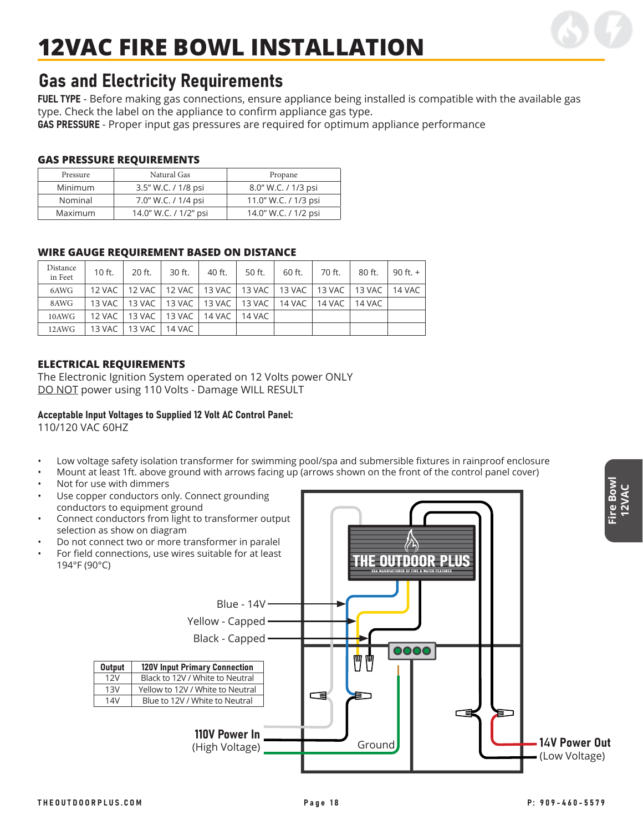

### Gas and Electricity Requirements

FUEL TYPE - Before making gas connections, ensure appliance being installed is compatible with the available gas type. Check the label on the appliance to confirm appliance gas type.

GAS PRESSURE - Proper input gas pressures are required for optimum appliance performance

#### **GAS PRESSURE REQUIREMENTS**

| Pressure       | Natural Gas           | Propane              |  |  |  |
|----------------|-----------------------|----------------------|--|--|--|
| <b>Minimum</b> | 3.5" W.C. / 1/8 psi   | 8.0" W.C. / 1/3 psi  |  |  |  |
| Nominal        | 7.0" W.C. / 1/4 psi   | 11.0" W.C. / 1/3 psi |  |  |  |
| Maximum        | 14.0" W.C. / 1/2" psi | 14.0" W.C. / 1/2 psi |  |  |  |

#### **WIRE GAUGE REQUIREMENT BASED ON DISTANCE**

| Distance<br>in Feet | 10 ft.   | $20$ ft.                                                              | 30 ft.          | 40 ft.   | 50 ft.                                              | 60 ft. | 70 ft. | 80 ft. | 90 ft. $+$ |
|---------------------|----------|-----------------------------------------------------------------------|-----------------|----------|-----------------------------------------------------|--------|--------|--------|------------|
| 6AWG                |          | 12 VAC   12 VAC   12 VAC   13 VAC   13 VAC   13 VAC   13 VAC   13 VAC |                 |          |                                                     |        |        |        | 14 VAC     |
| 8AWG                | 13 VAC 1 |                                                                       |                 |          | 13 VAC   13 VAC   13 VAC   13 VAC   14 VAC   14 VAC |        |        | 14 VAC |            |
| 10AWG               | 12 VAC 1 |                                                                       | 13 VAC   13 VAC | 14 VAC 1 | 14 VAC                                              |        |        |        |            |
| 12AWG               | 13 VAC   | 13 VAC   14 VAC                                                       |                 |          |                                                     |        |        |        |            |

#### **ELECTRICAL REQUIREMENTS**

The Electronic Ignition System operated on 12 Volts power ONLY DO NOT power using 110 Volts - Damage WILL RESULT

#### Acceptable Input Voltages to Supplied 12 Volt AC Control Panel:

110/120 VAC 60HZ

- Low voltage safety isolation transformer for swimming pool/spa and submersible fixtures in rainproof enclosure
- Mount at least 1ft. above ground with arrows facing up (arrows shown on the front of the control panel cover)
- Not for use with dimmers

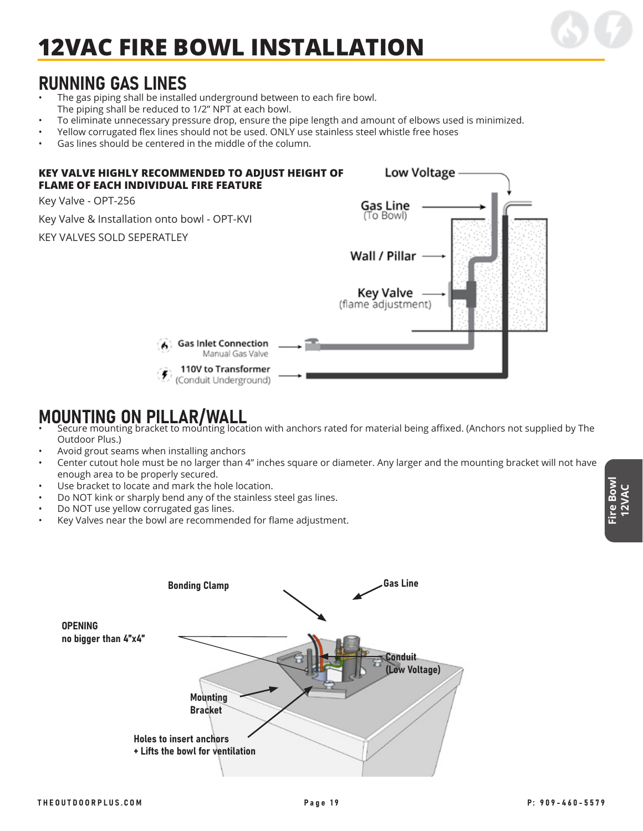

### RUNNING GAS LINES

- The gas piping shall be installed underground between to each fire bowl. The piping shall be reduced to 1/2" NPT at each bowl.
- To eliminate unnecessary pressure drop, ensure the pipe length and amount of elbows used is minimized.
- Yellow corrugated flex lines should not be used. ONLY use stainless steel whistle free hoses
- Gas lines should be centered in the middle of the column.



- MOUNTING ON PILLAR/WALL<br>• Secure mounting bracket to mounting location with anchors rated for material being affixed. (Anchors not supplied by The Outdoor Plus.)
- Avoid grout seams when installing anchors
- Center cutout hole must be no larger than 4" inches square or diameter. Any larger and the mounting bracket will not have enough area to be properly secured.
- Use bracket to locate and mark the hole location.
- Do NOT kink or sharply bend any of the stainless steel gas lines.
- Do NOT use yellow corrugated gas lines.
- Key Valves near the bowl are recommended for flame adjustment.

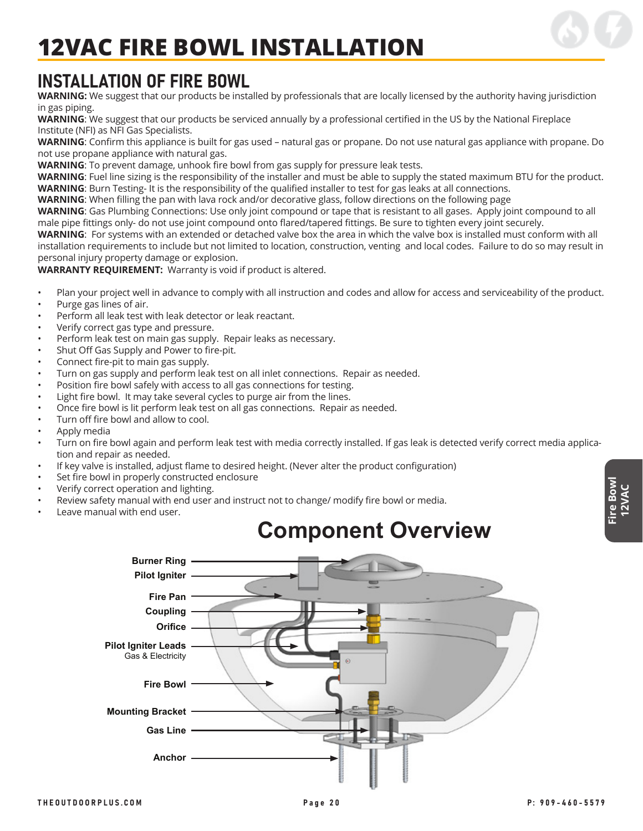

## INSTALLATION OF FIRE BOWL

**WARNING:** We suggest that our products be installed by professionals that are locally licensed by the authority having jurisdiction in gas piping.

**WARNING**: We suggest that our products be serviced annually by a professional certified in the US by the National Fireplace Institute (NFI) as NFI Gas Specialists.

**WARNING**: Confirm this appliance is built for gas used – natural gas or propane. Do not use natural gas appliance with propane. Do not use propane appliance with natural gas.

**WARNING**: To prevent damage, unhook fire bowl from gas supply for pressure leak tests.

**WARNING**: Fuel line sizing is the responsibility of the installer and must be able to supply the stated maximum BTU for the product. **WARNING**: Burn Testing- It is the responsibility of the qualified installer to test for gas leaks at all connections.

**WARNING**: When filling the pan with lava rock and/or decorative glass, follow directions on the following page

**WARNING**: Gas Plumbing Connections: Use only joint compound or tape that is resistant to all gases. Apply joint compound to all male pipe fittings only- do not use joint compound onto flared/tapered fittings. Be sure to tighten every joint securely.

**WARNING**: For systems with an extended or detached valve box the area in which the valve box is installed must conform with all installation requirements to include but not limited to location, construction, venting and local codes. Failure to do so may result in personal injury property damage or explosion.

**WARRANTY REQUIREMENT:** Warranty is void if product is altered.

- Plan your project well in advance to comply with all instruction and codes and allow for access and serviceability of the product.
- Purge gas lines of air.
- Perform all leak test with leak detector or leak reactant.
- Verify correct gas type and pressure.
- Perform leak test on main gas supply. Repair leaks as necessary.
- Shut Off Gas Supply and Power to fire-pit.
- Connect fire-pit to main gas supply.
- Turn on gas supply and perform leak test on all inlet connections. Repair as needed.
- Position fire bowl safely with access to all gas connections for testing.
- Light fire bowl. It may take several cycles to purge air from the lines.
- Once fire bowl is lit perform leak test on all gas connections. Repair as needed.
- Turn off fire bowl and allow to cool.
- Apply media
- Turn on fire bowl again and perform leak test with media correctly installed. If gas leak is detected verify correct media application and repair as needed.
- If key valve is installed, adjust flame to desired height. (Never alter the product configuration)
- Set fire bowl in properly constructed enclosure
- Verify correct operation and lighting.
- Review safety manual with end user and instruct not to change/ modify fire bowl or media.
- Leave manual with end user.

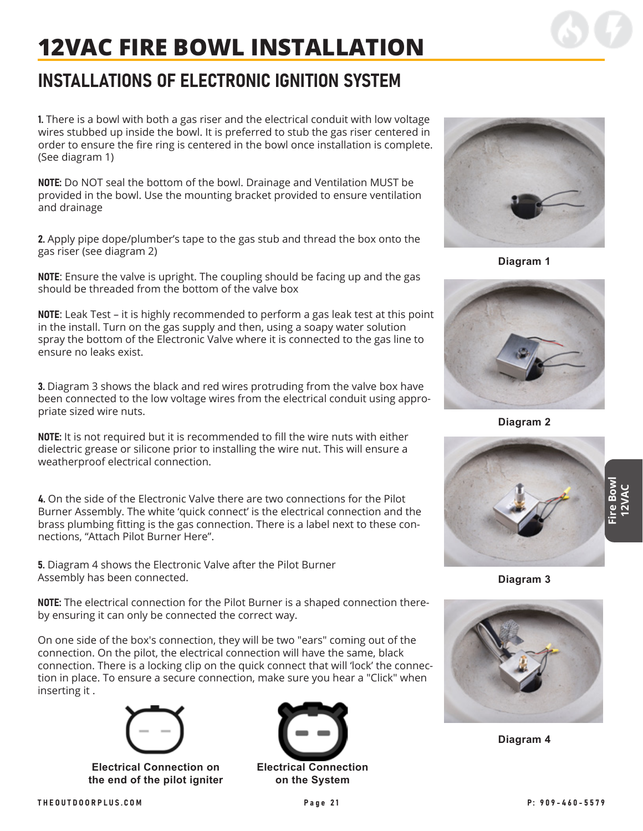## INSTALLATIONS OF ELECTRONIC IGNITION SYSTEM

1. There is a bowl with both a gas riser and the electrical conduit with low voltage wires stubbed up inside the bowl. It is preferred to stub the gas riser centered in order to ensure the fire ring is centered in the bowl once installation is complete. (See diagram 1)

NOTE: Do NOT seal the bottom of the bowl. Drainage and Ventilation MUST be provided in the bowl. Use the mounting bracket provided to ensure ventilation and drainage

2. Apply pipe dope/plumber's tape to the gas stub and thread the box onto the gas riser (see diagram 2)

NOTE: Ensure the valve is upright. The coupling should be facing up and the gas should be threaded from the bottom of the valve box

NOTE: Leak Test – it is highly recommended to perform a gas leak test at this point in the install. Turn on the gas supply and then, using a soapy water solution spray the bottom of the Electronic Valve where it is connected to the gas line to ensure no leaks exist.

3. Diagram 3 shows the black and red wires protruding from the valve box have been connected to the low voltage wires from the electrical conduit using appropriate sized wire nuts.

NOTE: It is not required but it is recommended to fill the wire nuts with either dielectric grease or silicone prior to installing the wire nut. This will ensure a weatherproof electrical connection.

4. On the side of the Electronic Valve there are two connections for the Pilot Burner Assembly. The white 'quick connect' is the electrical connection and the brass plumbing fitting is the gas connection. There is a label next to these connections, "Attach Pilot Burner Here".

5. Diagram 4 shows the Electronic Valve after the Pilot Burner Assembly has been connected.

NOTE: The electrical connection for the Pilot Burner is a shaped connection thereby ensuring it can only be connected the correct way.

On one side of the box's connection, they will be two "ears" coming out of the connection. On the pilot, the electrical connection will have the same, black connection. There is a locking clip on the quick connect that will 'lock' the connection in place. To ensure a secure connection, make sure you hear a "Click" when inserting it .



**Electrical Connection on the end of the pilot igniter**





**Diagram 1**



**Diagram 2**



**Diagram 3**



**Diagram 4**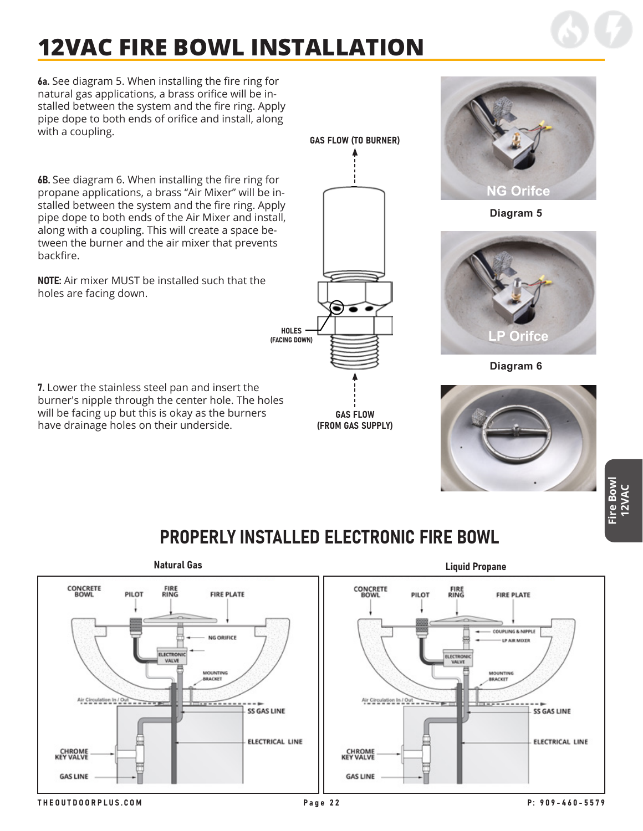6a. See diagram 5. When installing the fire ring for natural gas applications, a brass orifice will be installed between the system and the fire ring. Apply pipe dope to both ends of orifice and install, along with a coupling.

6B. See diagram 6. When installing the fire ring for propane applications, a brass "Air Mixer" will be installed between the system and the fire ring. Apply pipe dope to both ends of the Air Mixer and install, along with a coupling. This will create a space between the burner and the air mixer that prevents backfire.

NOTE: Air mixer MUST be installed such that the holes are facing down.

7. Lower the stainless steel pan and insert the burner's nipple through the center hole. The holes will be facing up but this is okay as the burners have drainage holes on their underside.



GAS FLOW (FROM GAS SUPPLY)



**Diagram 5**



**Diagram 6**



**Fire Bowl 12VAC**

## PROPERLY INSTALLED ELECTRONIC FIRE BOWL

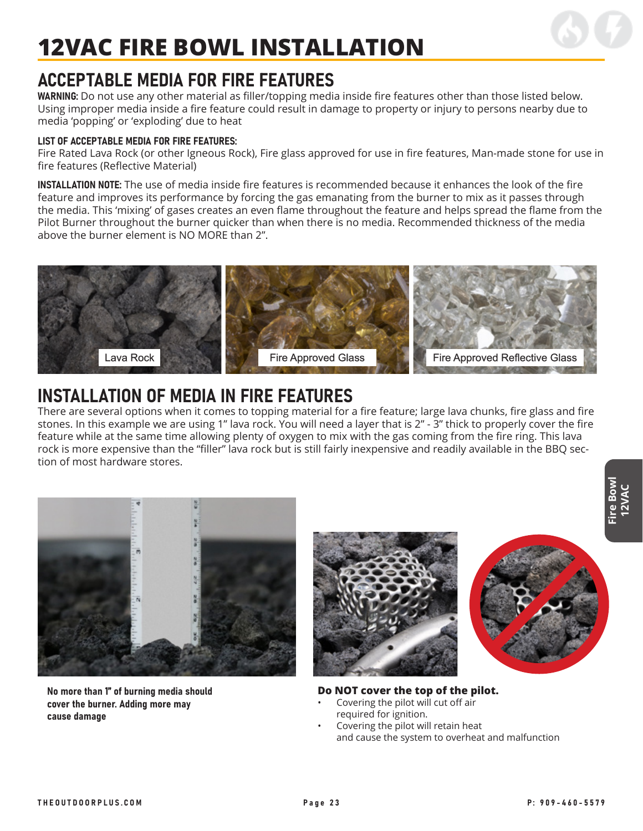

### ACCEPTABLE MEDIA FOR FIRE FEATURES

WARNING: Do not use any other material as filler/topping media inside fire features other than those listed below. Using improper media inside a fire feature could result in damage to property or injury to persons nearby due to media 'popping' or 'exploding' due to heat

#### LIST OF ACCEPTABLE MEDIA FOR FIRE FEATURES:

Fire Rated Lava Rock (or other Igneous Rock), Fire glass approved for use in fire features, Man-made stone for use in fire features (Reflective Material)

INSTALLATION NOTE: The use of media inside fire features is recommended because it enhances the look of the fire feature and improves its performance by forcing the gas emanating from the burner to mix as it passes through the media. This 'mixing' of gases creates an even flame throughout the feature and helps spread the flame from the Pilot Burner throughout the burner quicker than when there is no media. Recommended thickness of the media above the burner element is NO MORE than 2".



### INSTALLATION OF MEDIA IN FIRE FEATURES

There are several options when it comes to topping material for a fire feature; large lava chunks, fire glass and fire stones. In this example we are using 1" lava rock. You will need a layer that is 2" - 3" thick to properly cover the fire feature while at the same time allowing plenty of oxygen to mix with the gas coming from the fire ring. This lava rock is more expensive than the "filler" lava rock but is still fairly inexpensive and readily available in the BBQ section of most hardware stores.



No more than 1" of burning media should cover the burner. Adding more may cause damage





#### **Do NOT cover the top of the pilot.**

- Covering the pilot will cut off air required for ignition.
- Covering the pilot will retain heat and cause the system to overheat and malfunction

**Fire Bowl 12VAC**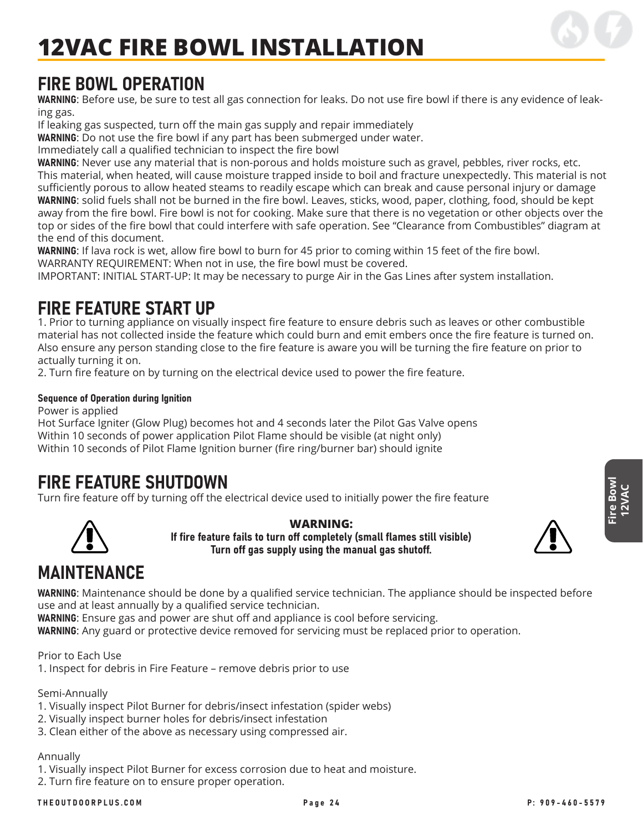

### FIRE BOWL OPERATION

WARNING: Before use, be sure to test all gas connection for leaks. Do not use fire bowl if there is any evidence of leaking gas.

If leaking gas suspected, turn off the main gas supply and repair immediately

WARNING: Do not use the fire bowl if any part has been submerged under water.

Immediately call a qualified technician to inspect the fire bowl

WARNING: Never use any material that is non-porous and holds moisture such as gravel, pebbles, river rocks, etc. This material, when heated, will cause moisture trapped inside to boil and fracture unexpectedly. This material is not sufficiently porous to allow heated steams to readily escape which can break and cause personal injury or damage WARNING: solid fuels shall not be burned in the fire bowl. Leaves, sticks, wood, paper, clothing, food, should be kept away from the fire bowl. Fire bowl is not for cooking. Make sure that there is no vegetation or other objects over the top or sides of the fire bowl that could interfere with safe operation. See "Clearance from Combustibles" diagram at the end of this document.

WARNING: If lava rock is wet, allow fire bowl to burn for 45 prior to coming within 15 feet of the fire bowl. WARRANTY REQUIREMENT: When not in use, the fire bowl must be covered.

IMPORTANT: INITIAL START-UP: It may be necessary to purge Air in the Gas Lines after system installation.

### FIRE FEATURE START UP

1. Prior to turning appliance on visually inspect fire feature to ensure debris such as leaves or other combustible material has not collected inside the feature which could burn and emit embers once the fire feature is turned on. Also ensure any person standing close to the fire feature is aware you will be turning the fire feature on prior to actually turning it on.

2. Turn fire feature on by turning on the electrical device used to power the fire feature.

#### Sequence of Operation during Ignition

Power is applied

Hot Surface Igniter (Glow Plug) becomes hot and 4 seconds later the Pilot Gas Valve opens Within 10 seconds of power application Pilot Flame should be visible (at night only) Within 10 seconds of Pilot Flame Ignition burner (fire ring/burner bar) should ignite

### FIRE FEATURE SHUTDOWN

Turn fire feature off by turning off the electrical device used to initially power the fire feature



**WARNING:** If fire feature fails to turn off completely (small flames still visible) Turn off gas supply using the manual gas shutoff.



**Fire Bowl 12VAC**

## MAINTENANCE

WARNING: Maintenance should be done by a qualified service technician. The appliance should be inspected before use and at least annually by a qualified service technician.

WARNING: Ensure gas and power are shut off and appliance is cool before servicing.

WARNING: Any guard or protective device removed for servicing must be replaced prior to operation.

Prior to Each Use 1. Inspect for debris in Fire Feature – remove debris prior to use

Semi-Annually

- 1. Visually inspect Pilot Burner for debris/insect infestation (spider webs)
- 2. Visually inspect burner holes for debris/insect infestation
- 3. Clean either of the above as necessary using compressed air.

#### Annually

1. Visually inspect Pilot Burner for excess corrosion due to heat and moisture.

2. Turn fire feature on to ensure proper operation.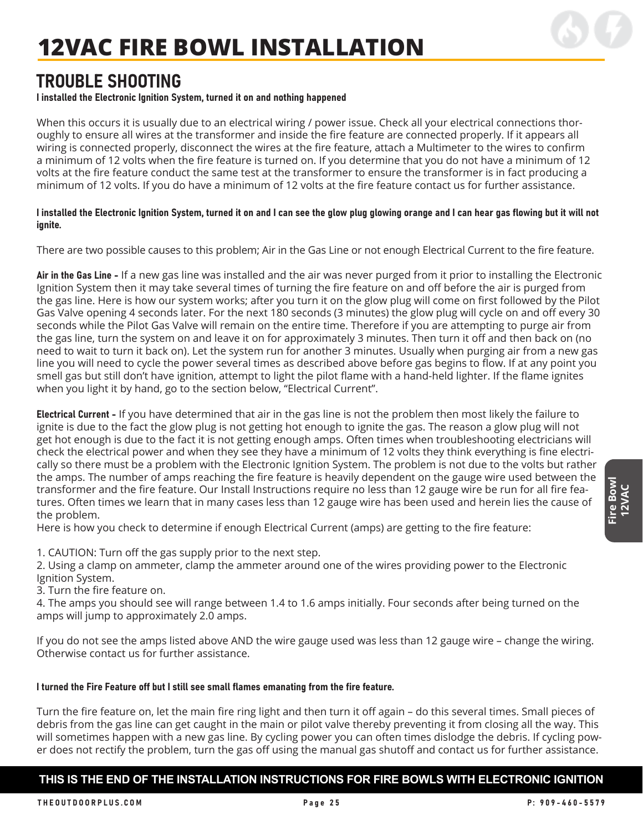

### TROUBLE SHOOTING

#### I installed the Electronic Ignition System, turned it on and nothing happened

When this occurs it is usually due to an electrical wiring / power issue. Check all your electrical connections thoroughly to ensure all wires at the transformer and inside the fire feature are connected properly. If it appears all wiring is connected properly, disconnect the wires at the fire feature, attach a Multimeter to the wires to confirm a minimum of 12 volts when the fire feature is turned on. If you determine that you do not have a minimum of 12 volts at the fire feature conduct the same test at the transformer to ensure the transformer is in fact producing a minimum of 12 volts. If you do have a minimum of 12 volts at the fire feature contact us for further assistance.

#### I installed the Electronic Ignition System, turned it on and I can see the glow plug glowing orange and I can hear gas flowing but it will not ignite.

There are two possible causes to this problem; Air in the Gas Line or not enough Electrical Current to the fire feature.

Air in the Gas Line - If a new gas line was installed and the air was never purged from it prior to installing the Electronic Ignition System then it may take several times of turning the fire feature on and off before the air is purged from the gas line. Here is how our system works; after you turn it on the glow plug will come on first followed by the Pilot Gas Valve opening 4 seconds later. For the next 180 seconds (3 minutes) the glow plug will cycle on and off every 30 seconds while the Pilot Gas Valve will remain on the entire time. Therefore if you are attempting to purge air from the gas line, turn the system on and leave it on for approximately 3 minutes. Then turn it off and then back on (no need to wait to turn it back on). Let the system run for another 3 minutes. Usually when purging air from a new gas line you will need to cycle the power several times as described above before gas begins to flow. If at any point you smell gas but still don't have ignition, attempt to light the pilot flame with a hand-held lighter. If the flame ignites when you light it by hand, go to the section below, "Electrical Current".

Electrical Current - If you have determined that air in the gas line is not the problem then most likely the failure to ignite is due to the fact the glow plug is not getting hot enough to ignite the gas. The reason a glow plug will not get hot enough is due to the fact it is not getting enough amps. Often times when troubleshooting electricians will check the electrical power and when they see they have a minimum of 12 volts they think everything is fine electrically so there must be a problem with the Electronic Ignition System. The problem is not due to the volts but rather the amps. The number of amps reaching the fire feature is heavily dependent on the gauge wire used between the transformer and the fire feature. Our Install Instructions require no less than 12 gauge wire be run for all fire features. Often times we learn that in many cases less than 12 gauge wire has been used and herein lies the cause of the problem.

Here is how you check to determine if enough Electrical Current (amps) are getting to the fire feature:

1. CAUTION: Turn off the gas supply prior to the next step.

2. Using a clamp on ammeter, clamp the ammeter around one of the wires providing power to the Electronic Ignition System.

3. Turn the fire feature on.

4. The amps you should see will range between 1.4 to 1.6 amps initially. Four seconds after being turned on the amps will jump to approximately 2.0 amps.

If you do not see the amps listed above AND the wire gauge used was less than 12 gauge wire – change the wiring. Otherwise contact us for further assistance.

#### I turned the Fire Feature off but I still see small flames emanating from the fire feature.

Turn the fire feature on, let the main fire ring light and then turn it off again – do this several times. Small pieces of debris from the gas line can get caught in the main or pilot valve thereby preventing it from closing all the way. This will sometimes happen with a new gas line. By cycling power you can often times dislodge the debris. If cycling power does not rectify the problem, turn the gas off using the manual gas shutoff and contact us for further assistance.

#### **THIS IS THE END OF THE INSTALLATION INSTRUCTIONS FOR FIRE BOWLS WITH ELECTRONIC IGNITION**